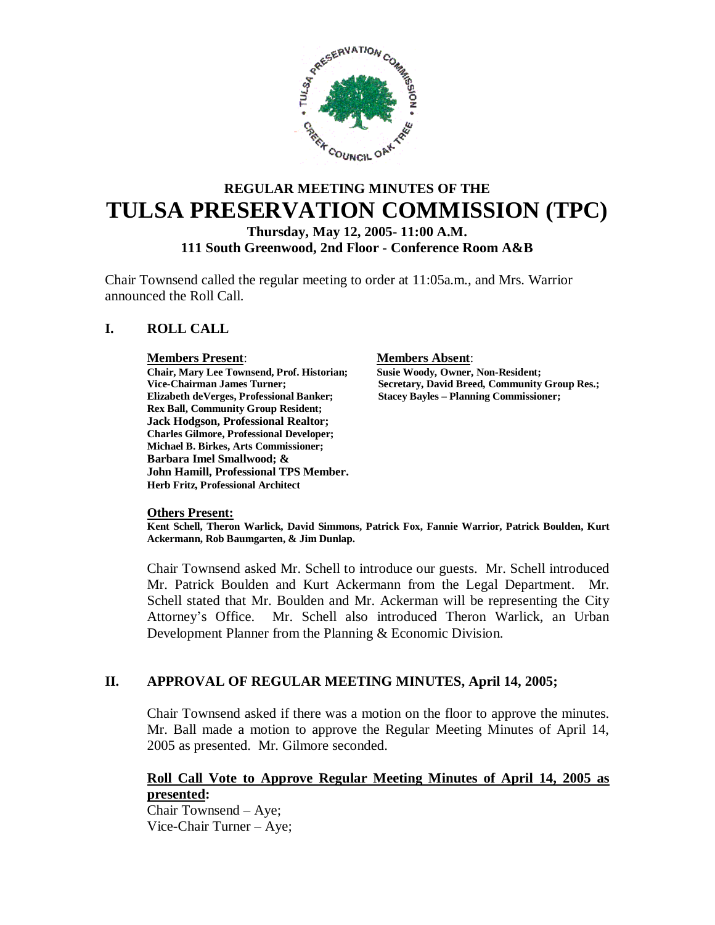

# **REGULAR MEETING MINUTES OF THE TULSA PRESERVATION COMMISSION (TPC)**

**Thursday, May 12, 2005- 11:00 A.M.**

**111 South Greenwood, 2nd Floor - Conference Room A&B**

Chair Townsend called the regular meeting to order at 11:05a.m., and Mrs. Warrior announced the Roll Call.

# **I. ROLL CALL**

**Members Present:**<br> **Chair, Mary Lee Townsend, Prof. Historian;**Susie Woody, Owner, Non-Resident; **Chair, Mary Lee Townsend, Prof. Historian;<br>Vice-Chairman James Turner; Elizabeth deVerges, Professional Banker; Stacey Bayles – Planning Commissioner; Rex Ball, Community Group Resident; Jack Hodgson, Professional Realtor; Charles Gilmore, Professional Developer; Michael B. Birkes, Arts Commissioner; Barbara Imel Smallwood; & John Hamill, Professional TPS Member. Herb Fritz, Professional Architect**

**Secretary, David Breed, Community Group Res.;** 

#### **Others Present:**

**Kent Schell, Theron Warlick, David Simmons, Patrick Fox, Fannie Warrior, Patrick Boulden, Kurt Ackermann, Rob Baumgarten, & Jim Dunlap.**

Chair Townsend asked Mr. Schell to introduce our guests. Mr. Schell introduced Mr. Patrick Boulden and Kurt Ackermann from the Legal Department. Mr. Schell stated that Mr. Boulden and Mr. Ackerman will be representing the City Attorney's Office. Mr. Schell also introduced Theron Warlick, an Urban Development Planner from the Planning & Economic Division.

# **II. APPROVAL OF REGULAR MEETING MINUTES, April 14, 2005;**

Chair Townsend asked if there was a motion on the floor to approve the minutes. Mr. Ball made a motion to approve the Regular Meeting Minutes of April 14, 2005 as presented. Mr. Gilmore seconded.

## **Roll Call Vote to Approve Regular Meeting Minutes of April 14, 2005 as presented:**

Chair Townsend – Aye; Vice-Chair Turner – Aye;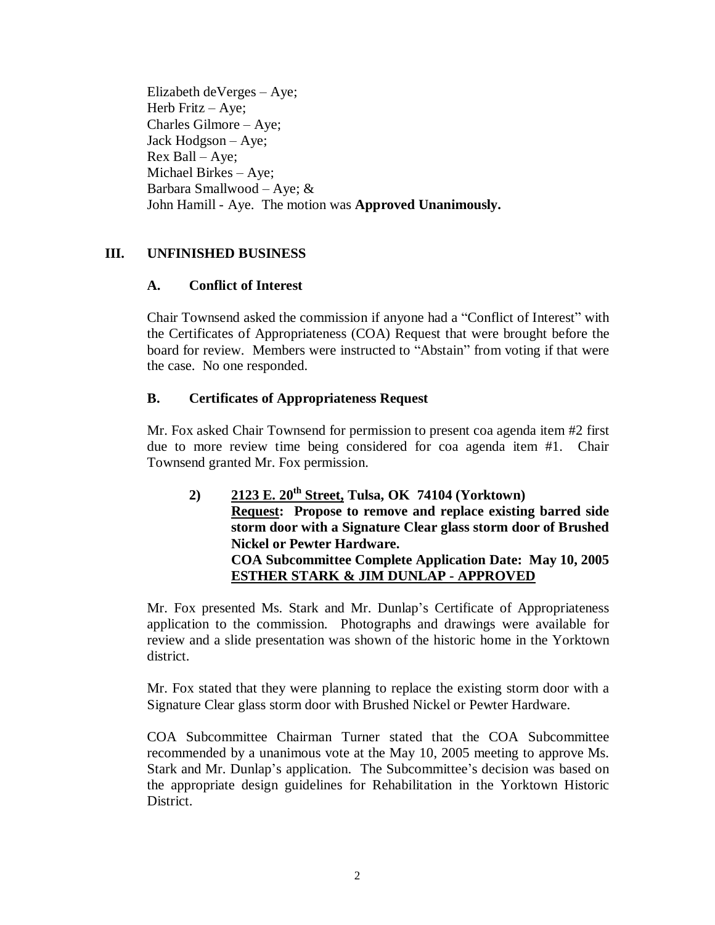Elizabeth deVerges – Aye; Herb Fritz – Aye; Charles Gilmore – Aye; Jack Hodgson – Aye; Rex Ball – Aye; Michael Birkes – Aye; Barbara Smallwood – Aye; & John Hamill - Aye. The motion was **Approved Unanimously.**

# **III. UNFINISHED BUSINESS**

# **A. Conflict of Interest**

Chair Townsend asked the commission if anyone had a "Conflict of Interest" with the Certificates of Appropriateness (COA) Request that were brought before the board for review. Members were instructed to "Abstain" from voting if that were the case. No one responded.

# **B. Certificates of Appropriateness Request**

Mr. Fox asked Chair Townsend for permission to present coa agenda item #2 first due to more review time being considered for coa agenda item #1. Chair Townsend granted Mr. Fox permission.

**2) 2123 E. 20th Street, Tulsa, OK 74104 (Yorktown) Request: Propose to remove and replace existing barred side storm door with a Signature Clear glass storm door of Brushed Nickel or Pewter Hardware. COA Subcommittee Complete Application Date: May 10, 2005 ESTHER STARK & JIM DUNLAP - APPROVED**

Mr. Fox presented Ms. Stark and Mr. Dunlap's Certificate of Appropriateness application to the commission. Photographs and drawings were available for review and a slide presentation was shown of the historic home in the Yorktown district.

Mr. Fox stated that they were planning to replace the existing storm door with a Signature Clear glass storm door with Brushed Nickel or Pewter Hardware.

COA Subcommittee Chairman Turner stated that the COA Subcommittee recommended by a unanimous vote at the May 10, 2005 meeting to approve Ms. Stark and Mr. Dunlap's application. The Subcommittee's decision was based on the appropriate design guidelines for Rehabilitation in the Yorktown Historic District.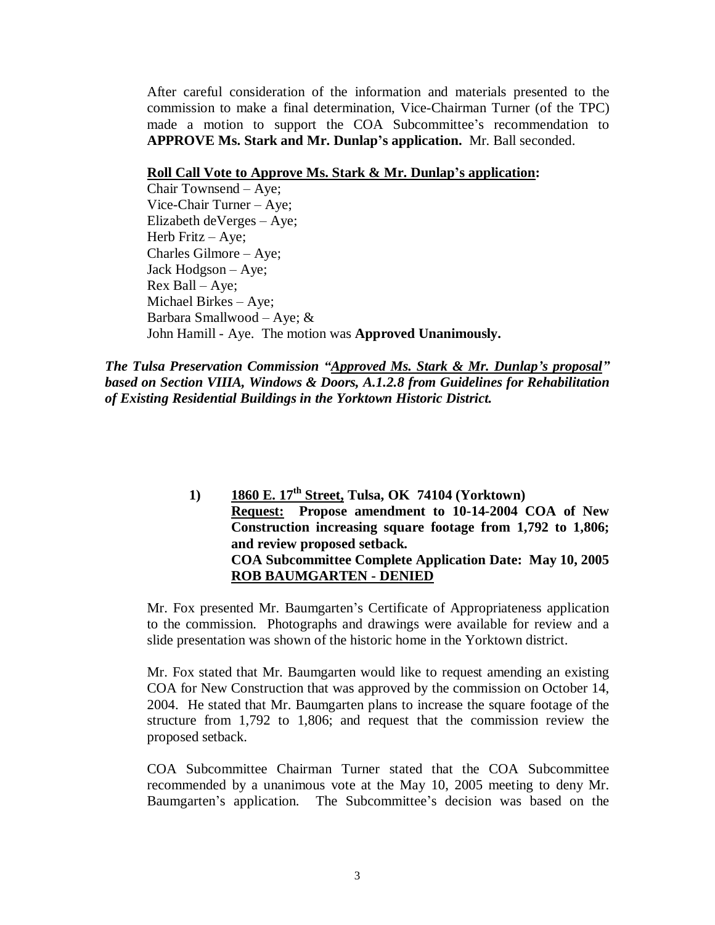After careful consideration of the information and materials presented to the commission to make a final determination, Vice-Chairman Turner (of the TPC) made a motion to support the COA Subcommittee's recommendation to **APPROVE Ms. Stark and Mr. Dunlap's application.** Mr. Ball seconded.

#### **Roll Call Vote to Approve Ms. Stark & Mr. Dunlap's application:**

Chair Townsend – Aye; Vice-Chair Turner – Aye; Elizabeth deVerges – Aye; Herb Fritz – Aye; Charles Gilmore – Aye; Jack Hodgson – Aye; Rex Ball – Aye; Michael Birkes – Aye; Barbara Smallwood – Aye;  $\&$ John Hamill - Aye. The motion was **Approved Unanimously.**

*The Tulsa Preservation Commission "Approved Ms. Stark & Mr. Dunlap's proposal" based on Section VIIIA, Windows & Doors, A.1.2.8 from Guidelines for Rehabilitation of Existing Residential Buildings in the Yorktown Historic District.*

> **1) 1860 E. 17th Street, Tulsa, OK 74104 (Yorktown) Request: Propose amendment to 10-14-2004 COA of New Construction increasing square footage from 1,792 to 1,806; and review proposed setback. COA Subcommittee Complete Application Date: May 10, 2005 ROB BAUMGARTEN - DENIED**

Mr. Fox presented Mr. Baumgarten's Certificate of Appropriateness application to the commission. Photographs and drawings were available for review and a slide presentation was shown of the historic home in the Yorktown district.

Mr. Fox stated that Mr. Baumgarten would like to request amending an existing COA for New Construction that was approved by the commission on October 14, 2004. He stated that Mr. Baumgarten plans to increase the square footage of the structure from 1,792 to 1,806; and request that the commission review the proposed setback.

COA Subcommittee Chairman Turner stated that the COA Subcommittee recommended by a unanimous vote at the May 10, 2005 meeting to deny Mr. Baumgarten's application. The Subcommittee's decision was based on the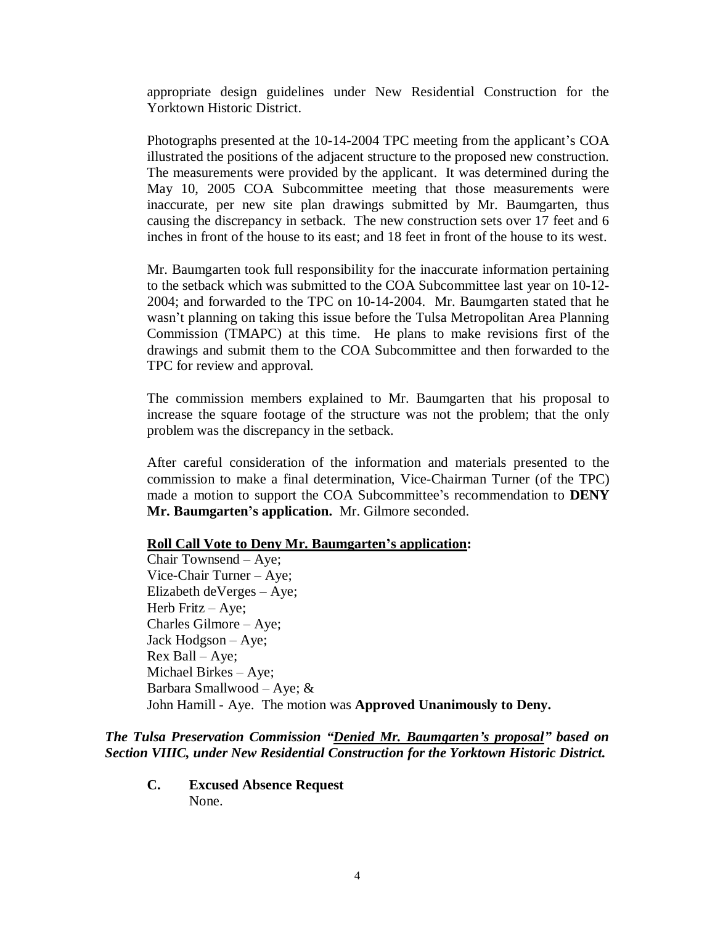appropriate design guidelines under New Residential Construction for the Yorktown Historic District.

Photographs presented at the 10-14-2004 TPC meeting from the applicant's COA illustrated the positions of the adjacent structure to the proposed new construction. The measurements were provided by the applicant. It was determined during the May 10, 2005 COA Subcommittee meeting that those measurements were inaccurate, per new site plan drawings submitted by Mr. Baumgarten, thus causing the discrepancy in setback. The new construction sets over 17 feet and 6 inches in front of the house to its east; and 18 feet in front of the house to its west.

Mr. Baumgarten took full responsibility for the inaccurate information pertaining to the setback which was submitted to the COA Subcommittee last year on 10-12- 2004; and forwarded to the TPC on 10-14-2004. Mr. Baumgarten stated that he wasn't planning on taking this issue before the Tulsa Metropolitan Area Planning Commission (TMAPC) at this time. He plans to make revisions first of the drawings and submit them to the COA Subcommittee and then forwarded to the TPC for review and approval.

The commission members explained to Mr. Baumgarten that his proposal to increase the square footage of the structure was not the problem; that the only problem was the discrepancy in the setback.

After careful consideration of the information and materials presented to the commission to make a final determination, Vice-Chairman Turner (of the TPC) made a motion to support the COA Subcommittee's recommendation to **DENY Mr. Baumgarten's application.** Mr. Gilmore seconded.

#### **Roll Call Vote to Deny Mr. Baumgarten's application:**

Chair Townsend –Aye; Vice-Chair Turner – Aye; Elizabeth deVerges – Aye; Herb Fritz – Aye; Charles Gilmore – Aye; Jack Hodgson – Aye; Rex Ball – Aye; Michael Birkes – Aye; Barbara Smallwood – Aye;  $\&$ John Hamill - Aye. The motion was **Approved Unanimously to Deny.**

#### *The Tulsa Preservation Commission "Denied Mr. Baumgarten's proposal" based on Section VIIIC, under New Residential Construction for the Yorktown Historic District.*

**C. Excused Absence Request** None.